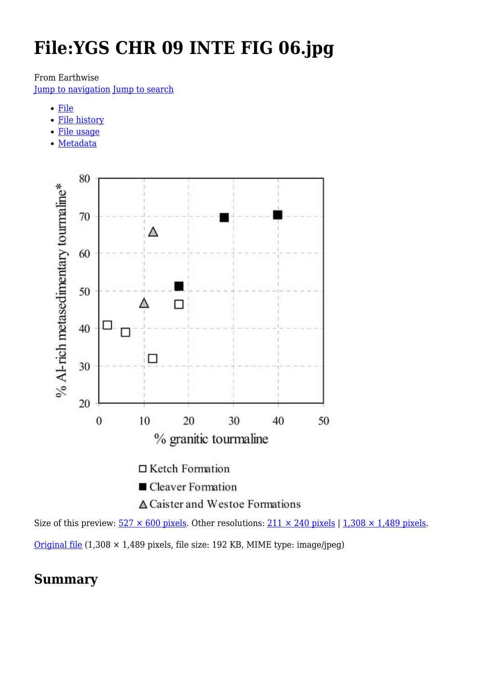# **File:YGS CHR 09 INTE FIG 06.jpg**

From Earthwise

[Jump to navigation](#page--1-0) [Jump to search](#page--1-0)

- [File](#page--1-0)
- [File history](#page--1-0)
- [File usage](#page--1-0)
- [Metadata](#page--1-0)



Size of this preview:  $527 \times 600$  pixels. Other resolutions:  $211 \times 240$  pixels | 1,308  $\times$  1,489 pixels. [Original file](http://earthwise.bgs.ac.uk/images/d/df/YGS_CHR_09_INTE_FIG_06.jpg) (1,308 × 1,489 pixels, file size: 192 KB, MIME type: image/jpeg)

## **Summary**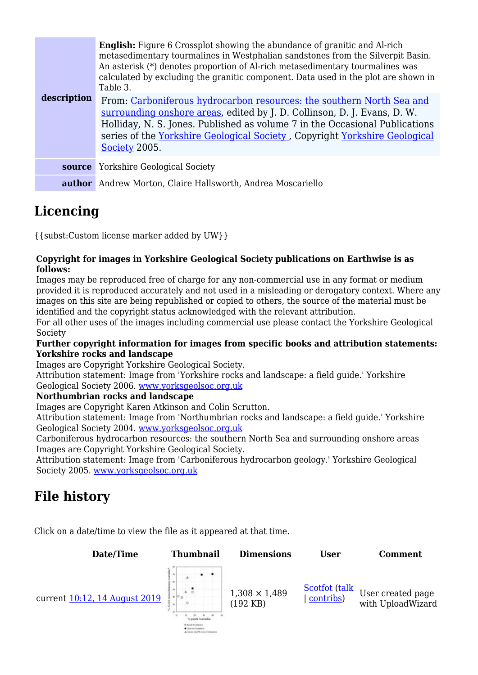| description | <b>English:</b> Figure 6 Crossplot showing the abundance of granitic and Al-rich<br>metasedimentary tourmalines in Westphalian sandstones from the Silverpit Basin.<br>An asterisk (*) denotes proportion of Al-rich metasedimentary tourmalines was<br>calculated by excluding the granitic component. Data used in the plot are shown in<br>Table 3. |
|-------------|--------------------------------------------------------------------------------------------------------------------------------------------------------------------------------------------------------------------------------------------------------------------------------------------------------------------------------------------------------|
|             | From: Carboniferous hydrocarbon resources: the southern North Sea and<br>surrounding onshore areas, edited by J. D. Collinson, D. J. Evans, D. W.<br>Holliday, N. S. Jones. Published as volume 7 in the Occasional Publications<br>series of the Yorkshire Geological Society, Copyright Yorkshire Geological<br>Society 2005.                        |
| source      | <b>Yorkshire Geological Society</b>                                                                                                                                                                                                                                                                                                                    |
|             | <b>author</b> Andrew Morton, Claire Hallsworth, Andrea Moscariello                                                                                                                                                                                                                                                                                     |

# **Licencing**

{{subst:Custom license marker added by UW}}

#### **Copyright for images in Yorkshire Geological Society publications on Earthwise is as follows:**

Images may be reproduced free of charge for any non-commercial use in any format or medium provided it is reproduced accurately and not used in a misleading or derogatory context. Where any images on this site are being republished or copied to others, the source of the material must be identified and the copyright status acknowledged with the relevant attribution.

For all other uses of the images including commercial use please contact the Yorkshire Geological Society

#### **Further copyright information for images from specific books and attribution statements: Yorkshire rocks and landscape**

Images are Copyright Yorkshire Geological Society.

Attribution statement: Image from 'Yorkshire rocks and landscape: a field guide.' Yorkshire Geological Society 2006. [www.yorksgeolsoc.org.uk](http://www.yorksgeolsoc.org.uk)

#### **Northumbrian rocks and landscape**

Images are Copyright Karen Atkinson and Colin Scrutton.

Attribution statement: Image from 'Northumbrian rocks and landscape: a field guide.' Yorkshire Geological Society 2004. [www.yorksgeolsoc.org.uk](http://www.yorksgeolsoc.org.uk)

Carboniferous hydrocarbon resources: the southern North Sea and surrounding onshore areas Images are Copyright Yorkshire Geological Society.

Attribution statement: Image from 'Carboniferous hydrocarbon geology.' Yorkshire Geological Society 2005. [www.yorksgeolsoc.org.uk](http://www.yorksgeolsoc.org.uk)

# **File history**

Click on a date/time to view the file as it appeared at that time.

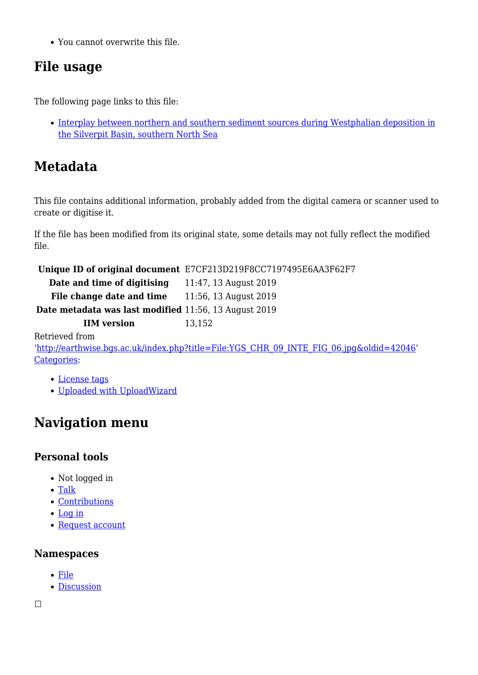You cannot overwrite this file.

# **File usage**

The following page links to this file:

• [Interplay between northern and southern sediment sources during Westphalian deposition in](http://earthwise.bgs.ac.uk/index.php/Interplay_between_northern_and_southern_sediment_sources_during_Westphalian_deposition_in_the_Silverpit_Basin,_southern_North_Sea) [the Silverpit Basin, southern North Sea](http://earthwise.bgs.ac.uk/index.php/Interplay_between_northern_and_southern_sediment_sources_during_Westphalian_deposition_in_the_Silverpit_Basin,_southern_North_Sea)

# **Metadata**

This file contains additional information, probably added from the digital camera or scanner used to create or digitise it.

If the file has been modified from its original state, some details may not fully reflect the modified file.

**Unique ID of original document** E7CF213D219F8CC7197495E6AA3F62F7

| Date and time of digitising | 11:47, 13 August 2019 |
|-----------------------------|-----------------------|
|                             |                       |

**File change date and time** 11:56, 13 August 2019

**Date metadata was last modified** 11:56, 13 August 2019

**IIM version** 13,152

Retrieved from

'[http://earthwise.bgs.ac.uk/index.php?title=File:YGS\\_CHR\\_09\\_INTE\\_FIG\\_06.jpg&oldid=42046'](http://earthwise.bgs.ac.uk/index.php?title=File:YGS_CHR_09_INTE_FIG_06.jpg&oldid=42046) [Categories:](http://earthwise.bgs.ac.uk/index.php/Special:Categories)

- [License tags](http://earthwise.bgs.ac.uk/index.php/Category:License_tags)
- [Uploaded with UploadWizard](http://earthwise.bgs.ac.uk/index.php/Category:Uploaded_with_UploadWizard)

# **Navigation menu**

### **Personal tools**

- Not logged in
- [Talk](http://earthwise.bgs.ac.uk/index.php/Special:MyTalk)
- [Contributions](http://earthwise.bgs.ac.uk/index.php/Special:MyContributions)
- [Log in](http://earthwise.bgs.ac.uk/index.php?title=Special:UserLogin&returnto=File%3AYGS+CHR+09+INTE+FIG+06.jpg&returntoquery=action%3Dmpdf)
- [Request account](http://earthwise.bgs.ac.uk/index.php/Special:RequestAccount)

### **Namespaces**

- [File](http://earthwise.bgs.ac.uk/index.php/File:YGS_CHR_09_INTE_FIG_06.jpg)
- [Discussion](http://earthwise.bgs.ac.uk/index.php?title=File_talk:YGS_CHR_09_INTE_FIG_06.jpg&action=edit&redlink=1)

 $\Box$